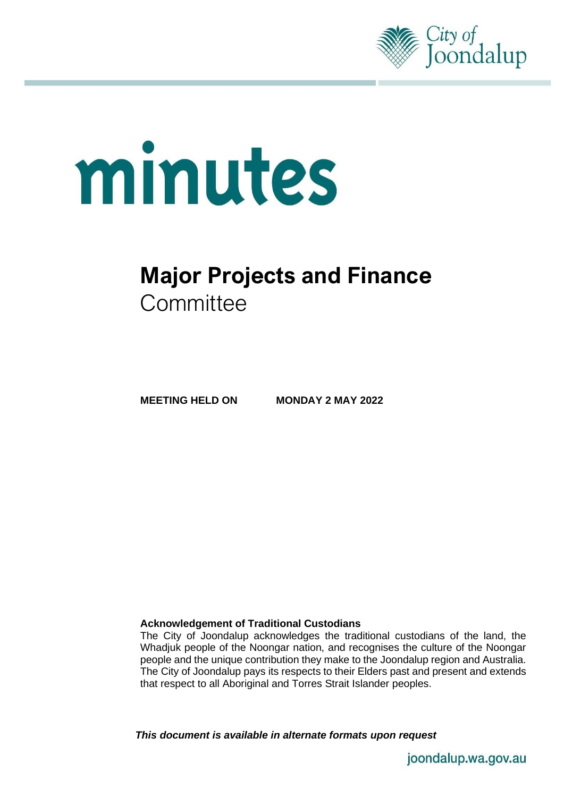

# minutes

# **Major Projects and Finance Committee**

**MEETING HELD ON MONDAY 2 MAY 2022**

### **Acknowledgement of Traditional Custodians**

The City of Joondalup acknowledges the traditional custodians of the land, the Whadjuk people of the Noongar nation, and recognises the culture of the Noongar people and the unique contribution they make to the Joondalup region and Australia. The City of Joondalup pays its respects to their Elders past and present and extends that respect to all Aboriginal and Torres Strait Islander peoples.

*This document is available in alternate formats upon request*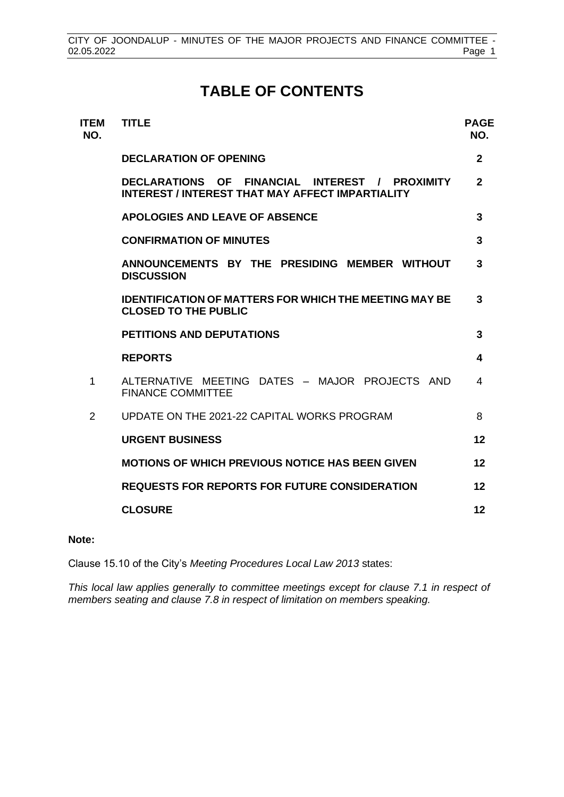# **TABLE OF CONTENTS**

| <b>ITEM</b><br>NO. | <b>TITLE</b>                                                                                              | <b>PAGE</b><br>NO. |
|--------------------|-----------------------------------------------------------------------------------------------------------|--------------------|
|                    | <b>DECLARATION OF OPENING</b>                                                                             | $\mathbf{2}$       |
|                    | DECLARATIONS OF FINANCIAL INTEREST / PROXIMITY<br><b>INTEREST / INTEREST THAT MAY AFFECT IMPARTIALITY</b> | $\mathbf{2}$       |
|                    | <b>APOLOGIES AND LEAVE OF ABSENCE</b>                                                                     | 3                  |
|                    | <b>CONFIRMATION OF MINUTES</b>                                                                            | 3                  |
|                    | ANNOUNCEMENTS BY THE PRESIDING MEMBER WITHOUT<br><b>DISCUSSION</b>                                        | 3                  |
|                    | <b>IDENTIFICATION OF MATTERS FOR WHICH THE MEETING MAY BE</b><br><b>CLOSED TO THE PUBLIC</b>              | 3                  |
|                    | <b>PETITIONS AND DEPUTATIONS</b>                                                                          | 3                  |
|                    | <b>REPORTS</b>                                                                                            | 4                  |
| 1                  | ALTERNATIVE MEETING DATES - MAJOR PROJECTS AND<br><b>FINANCE COMMITTEE</b>                                | 4                  |
| 2                  | UPDATE ON THE 2021-22 CAPITAL WORKS PROGRAM                                                               | 8                  |
|                    | <b>URGENT BUSINESS</b>                                                                                    | 12                 |
|                    | <b>MOTIONS OF WHICH PREVIOUS NOTICE HAS BEEN GIVEN</b>                                                    | 12                 |
|                    | <b>REQUESTS FOR REPORTS FOR FUTURE CONSIDERATION</b>                                                      | 12                 |
|                    | <b>CLOSURE</b>                                                                                            | 12                 |

### **Note:**

Clause 15.10 of the City's *Meeting Procedures Local Law 2013* states:

*This local law applies generally to committee meetings except for clause 7.1 in respect of members seating and clause 7.8 in respect of limitation on members speaking.*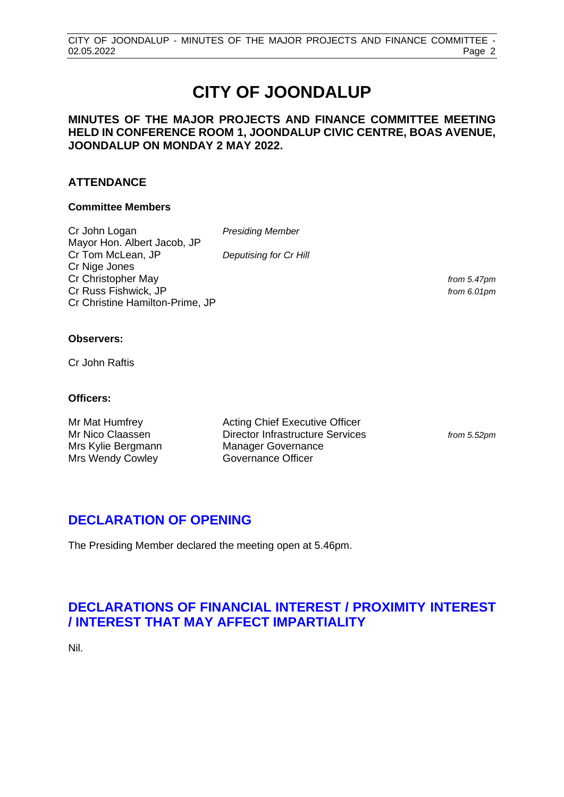# **CITY OF JOONDALUP**

### **MINUTES OF THE MAJOR PROJECTS AND FINANCE COMMITTEE MEETING HELD IN CONFERENCE ROOM 1, JOONDALUP CIVIC CENTRE, BOAS AVENUE, JOONDALUP ON MONDAY 2 MAY 2022.**

## **ATTENDANCE**

### **Committee Members**

Cr John Logan *Presiding Member* Mayor Hon. Albert Jacob, JP Cr Tom McLean, JP *Deputising for Cr Hill* Cr Nige Jones Cr Christopher May *from 5.47pm* Cr Russ Fishwick, JP *from 6.01pm* Cr Christine Hamilton-Prime, JP

from 5.52pm

### **Observers:**

Cr John Raftis

### **Officers:**

| Mr Mat Humfrey                         | <b>Acting Chief Executive Officer</b>                         |
|----------------------------------------|---------------------------------------------------------------|
| Mr Nico Claassen<br>Mrs Kylie Bergmann | Director Infrastructure Services<br><b>Manager Governance</b> |
| Mrs Wendy Cowley                       | Governance Officer                                            |

# <span id="page-2-0"></span>**DECLARATION OF OPENING**

The Presiding Member declared the meeting open at 5.46pm.

# <span id="page-2-1"></span>**DECLARATIONS OF FINANCIAL INTEREST / PROXIMITY INTEREST / INTEREST THAT MAY AFFECT IMPARTIALITY**

Nil.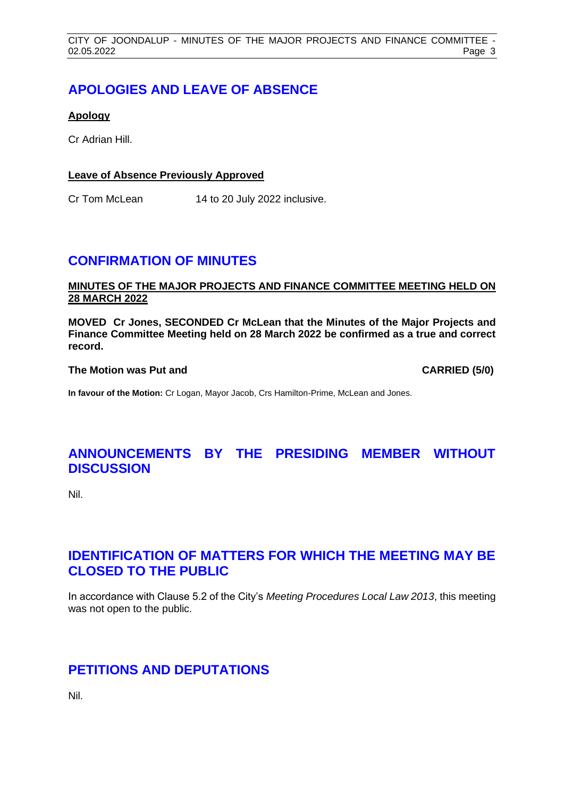# <span id="page-3-0"></span>**APOLOGIES AND LEAVE OF ABSENCE**

### **Apology**

Cr Adrian Hill.

### **Leave of Absence Previously Approved**

Cr Tom McLean 14 to 20 July 2022 inclusive.

# <span id="page-3-1"></span>**CONFIRMATION OF MINUTES**

### **MINUTES OF THE MAJOR PROJECTS AND FINANCE COMMITTEE MEETING HELD ON 28 MARCH 2022**

**MOVED Cr Jones, SECONDED Cr McLean that the Minutes of the Major Projects and Finance Committee Meeting held on 28 March 2022 be confirmed as a true and correct record.**

### **The Motion was Put and CARRIED (5/0)**

**In favour of the Motion:** Cr Logan, Mayor Jacob, Crs Hamilton-Prime, McLean and Jones.

# <span id="page-3-2"></span>**ANNOUNCEMENTS BY THE PRESIDING MEMBER WITHOUT DISCUSSION**

Nil.

# <span id="page-3-3"></span>**IDENTIFICATION OF MATTERS FOR WHICH THE MEETING MAY BE CLOSED TO THE PUBLIC**

In accordance with Clause 5.2 of the City's *Meeting Procedures Local Law 2013*, this meeting was not open to the public.

# <span id="page-3-4"></span>**PETITIONS AND DEPUTATIONS**

Nil.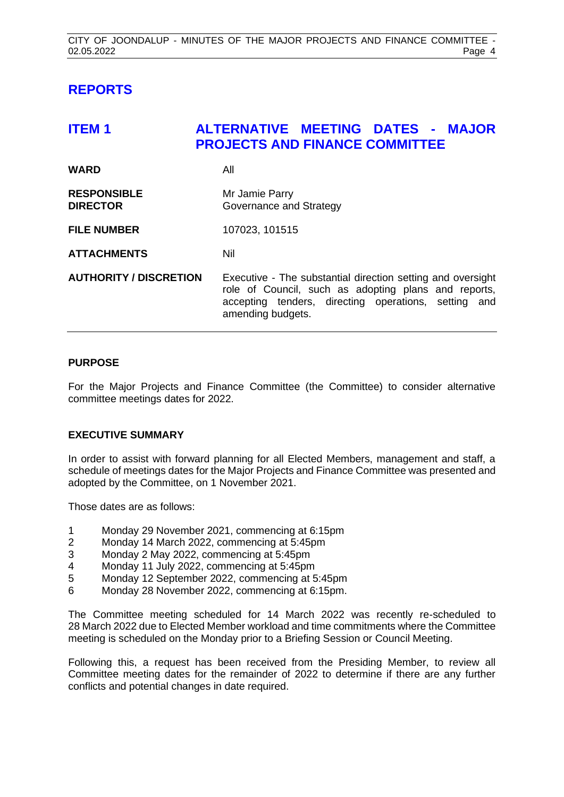# <span id="page-4-0"></span>**REPORTS**

<span id="page-4-1"></span>

| <b>ITEM1</b>                          | <b>ALTERNATIVE MEETING DATES - MAJOR</b><br><b>PROJECTS AND FINANCE COMMITTEE</b>                                                                                                                |
|---------------------------------------|--------------------------------------------------------------------------------------------------------------------------------------------------------------------------------------------------|
| <b>WARD</b>                           | All                                                                                                                                                                                              |
| <b>RESPONSIBLE</b><br><b>DIRECTOR</b> | Mr Jamie Parry<br>Governance and Strategy                                                                                                                                                        |
| <b>FILE NUMBER</b>                    | 107023, 101515                                                                                                                                                                                   |
| <b>ATTACHMENTS</b>                    | Nil                                                                                                                                                                                              |
| <b>AUTHORITY / DISCRETION</b>         | Executive - The substantial direction setting and oversight<br>role of Council, such as adopting plans and reports,<br>accepting tenders, directing operations, setting and<br>amending budgets. |

### **PURPOSE**

For the Major Projects and Finance Committee (the Committee) to consider alternative committee meetings dates for 2022.

### **EXECUTIVE SUMMARY**

In order to assist with forward planning for all Elected Members, management and staff, a schedule of meetings dates for the Major Projects and Finance Committee was presented and adopted by the Committee, on 1 November 2021.

Those dates are as follows:

- 1 Monday 29 November 2021, commencing at 6:15pm
- 2 Monday 14 March 2022, commencing at 5:45pm
- 3 Monday 2 May 2022, commencing at 5:45pm
- 4 Monday 11 July 2022, commencing at 5:45pm<br>5 Monday 12 September 2022, commencing at 5
- 5 Monday 12 September 2022, commencing at 5:45pm
- 6 Monday 28 November 2022, commencing at 6:15pm.

The Committee meeting scheduled for 14 March 2022 was recently re-scheduled to 28 March 2022 due to Elected Member workload and time commitments where the Committee meeting is scheduled on the Monday prior to a Briefing Session or Council Meeting.

Following this, a request has been received from the Presiding Member, to review all Committee meeting dates for the remainder of 2022 to determine if there are any further conflicts and potential changes in date required.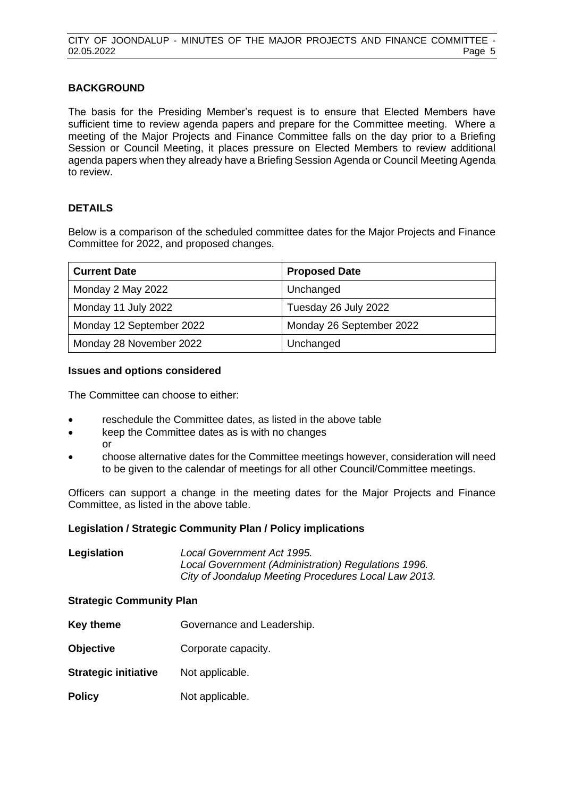### **BACKGROUND**

The basis for the Presiding Member's request is to ensure that Elected Members have sufficient time to review agenda papers and prepare for the Committee meeting. Where a meeting of the Major Projects and Finance Committee falls on the day prior to a Briefing Session or Council Meeting, it places pressure on Elected Members to review additional agenda papers when they already have a Briefing Session Agenda or Council Meeting Agenda to review.

### **DETAILS**

Below is a comparison of the scheduled committee dates for the Major Projects and Finance Committee for 2022, and proposed changes.

| <b>Current Date</b>      | <b>Proposed Date</b>     |
|--------------------------|--------------------------|
| Monday 2 May 2022        | Unchanged                |
| Monday 11 July 2022      | Tuesday 26 July 2022     |
| Monday 12 September 2022 | Monday 26 September 2022 |
| Monday 28 November 2022  | Unchanged                |

### **Issues and options considered**

The Committee can choose to either:

- reschedule the Committee dates, as listed in the above table
- keep the Committee dates as is with no changes or
- choose alternative dates for the Committee meetings however, consideration will need to be given to the calendar of meetings for all other Council/Committee meetings.

Officers can support a change in the meeting dates for the Major Projects and Finance Committee, as listed in the above table.

### **Legislation / Strategic Community Plan / Policy implications**

| Legislation | Local Government Act 1995.                           |
|-------------|------------------------------------------------------|
|             | Local Government (Administration) Regulations 1996.  |
|             | City of Joondalup Meeting Procedures Local Law 2013. |

### **Strategic Community Plan**

- **Key theme Governance and Leadership.**
- **Objective Corporate capacity.**
- **Strategic initiative** Not applicable.
- **Policy** Not applicable.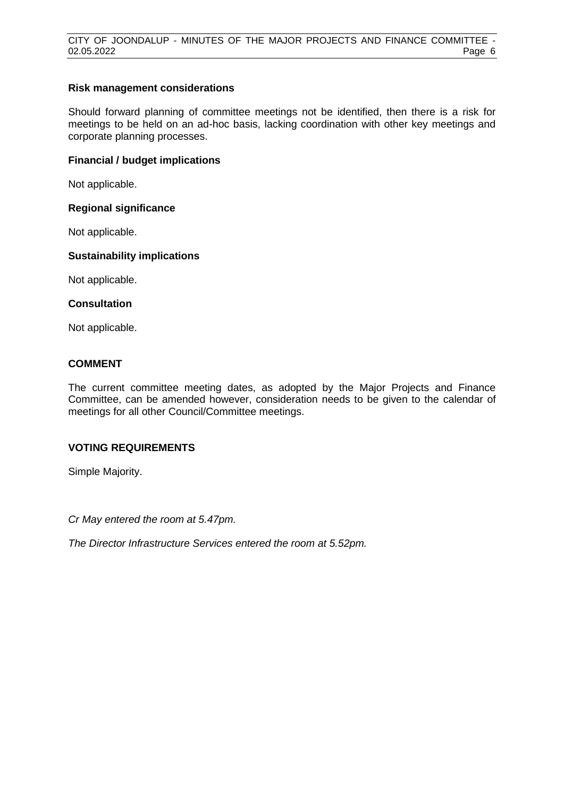### **Risk management considerations**

Should forward planning of committee meetings not be identified, then there is a risk for meetings to be held on an ad-hoc basis, lacking coordination with other key meetings and corporate planning processes.

### **Financial / budget implications**

Not applicable.

### **Regional significance**

Not applicable.

### **Sustainability implications**

Not applicable.

### **Consultation**

Not applicable.

### **COMMENT**

The current committee meeting dates, as adopted by the Major Projects and Finance Committee, can be amended however, consideration needs to be given to the calendar of meetings for all other Council/Committee meetings.

### **VOTING REQUIREMENTS**

Simple Majority.

*Cr May entered the room at 5.47pm.*

*The Director Infrastructure Services entered the room at 5.52pm.*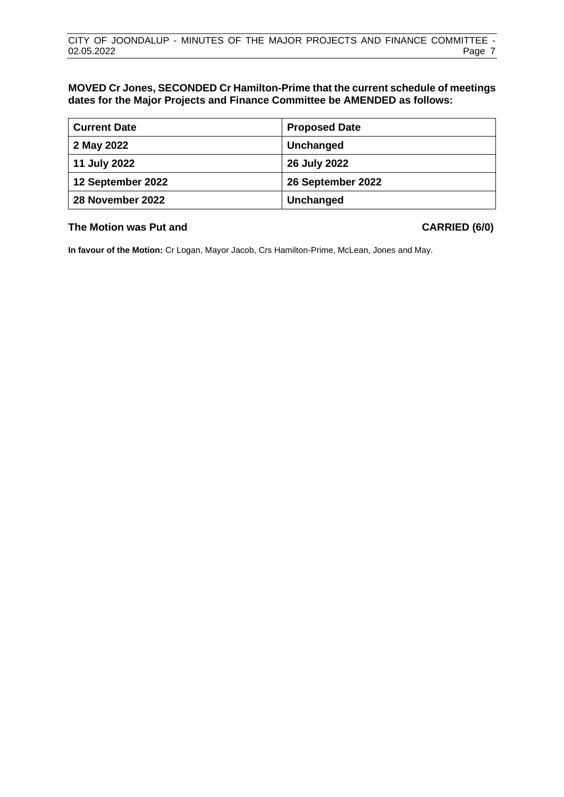### **MOVED Cr Jones, SECONDED Cr Hamilton-Prime that the current schedule of meetings dates for the Major Projects and Finance Committee be AMENDED as follows:**

| <b>Current Date</b> | <b>Proposed Date</b> |
|---------------------|----------------------|
| 2 May 2022          | Unchanged            |
| 11 July 2022        | 26 July 2022         |
| 12 September 2022   | 26 September 2022    |
| 28 November 2022    | Unchanged            |

### **The Motion was Put and CARRIED (6/0)**

**In favour of the Motion:** Cr Logan, Mayor Jacob, Crs Hamilton-Prime, McLean, Jones and May.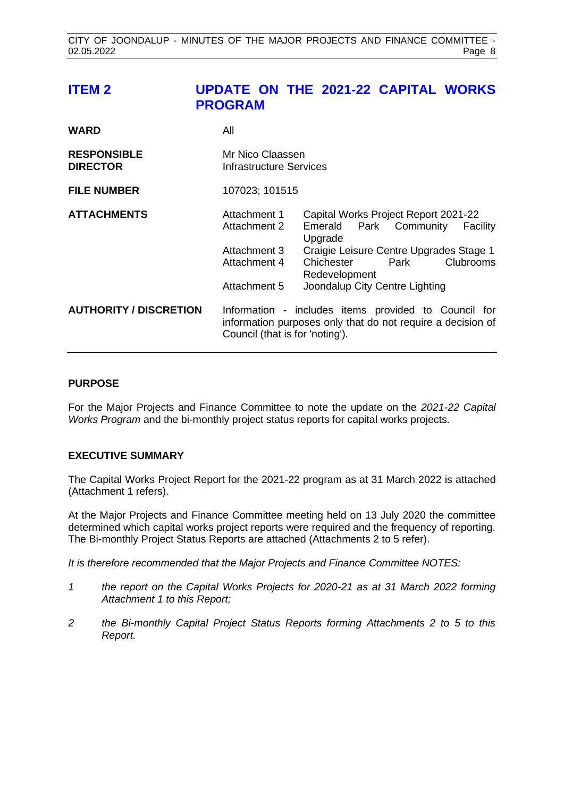# <span id="page-8-0"></span>**ITEM 2 UPDATE ON THE 2021-22 CAPITAL WORKS PROGRAM**

| <b>WARD</b>                           | All                                                                          |                                                                                                                                                                                                                        |
|---------------------------------------|------------------------------------------------------------------------------|------------------------------------------------------------------------------------------------------------------------------------------------------------------------------------------------------------------------|
| <b>RESPONSIBLE</b><br><b>DIRECTOR</b> | Mr Nico Claassen<br>Infrastructure Services                                  |                                                                                                                                                                                                                        |
| <b>FILE NUMBER</b>                    | 107023; 101515                                                               |                                                                                                                                                                                                                        |
| <b>ATTACHMENTS</b>                    | Attachment 1<br>Attachment 2<br>Attachment 3<br>Attachment 4<br>Attachment 5 | Capital Works Project Report 2021-22<br>Emerald Park Community<br>Facility<br>Upgrade<br>Craigie Leisure Centre Upgrades Stage 1<br>Clubrooms<br>Chichester<br>Park<br>Redevelopment<br>Joondalup City Centre Lighting |
| <b>AUTHORITY / DISCRETION</b>         | Council (that is for 'noting').                                              | Information - includes items provided to Council for<br>information purposes only that do not require a decision of                                                                                                    |

### **PURPOSE**

For the Major Projects and Finance Committee to note the update on the *2021-22 Capital Works Program* and the bi-monthly project status reports for capital works projects.

### **EXECUTIVE SUMMARY**

The Capital Works Project Report for the 2021-22 program as at 31 March 2022 is attached (Attachment 1 refers).

At the Major Projects and Finance Committee meeting held on 13 July 2020 the committee determined which capital works project reports were required and the frequency of reporting. The Bi-monthly Project Status Reports are attached (Attachments 2 to 5 refer).

*It is therefore recommended that the Major Projects and Finance Committee NOTES:*

- *1 the report on the Capital Works Projects for 2020-21 as at 31 March 2022 forming Attachment 1 to this Report;*
- *2 the Bi-monthly Capital Project Status Reports forming Attachments 2 to 5 to this Report.*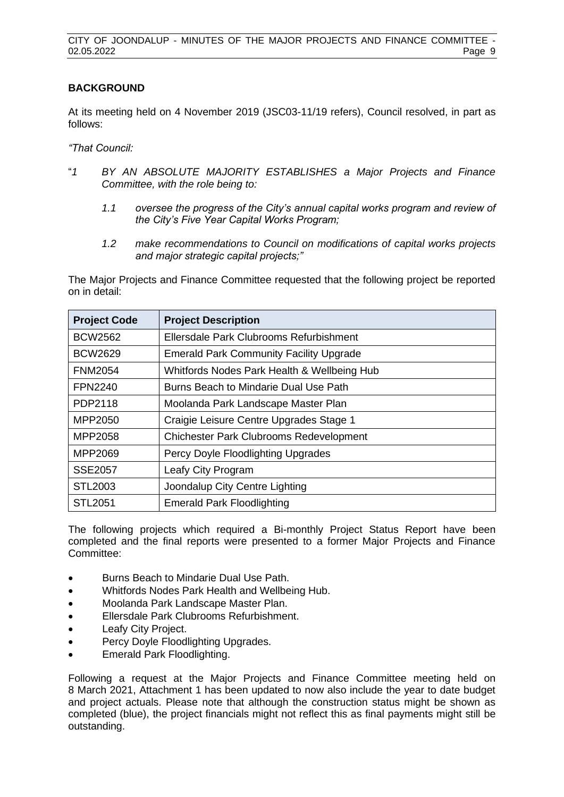### **BACKGROUND**

At its meeting held on 4 November 2019 (JSC03-11/19 refers), Council resolved, in part as follows:

*"That Council:*

- "*1 BY AN ABSOLUTE MAJORITY ESTABLISHES a Major Projects and Finance Committee, with the role being to:*
	- *1.1 oversee the progress of the City's annual capital works program and review of the City's Five Year Capital Works Program;*
	- *1.2 make recommendations to Council on modifications of capital works projects and major strategic capital projects;"*

The Major Projects and Finance Committee requested that the following project be reported on in detail:

| <b>Project Code</b> | <b>Project Description</b>                     |
|---------------------|------------------------------------------------|
| <b>BCW2562</b>      | Ellersdale Park Clubrooms Refurbishment        |
| <b>BCW2629</b>      | <b>Emerald Park Community Facility Upgrade</b> |
| <b>FNM2054</b>      | Whitfords Nodes Park Health & Wellbeing Hub    |
| <b>FPN2240</b>      | Burns Beach to Mindarie Dual Use Path          |
| PDP2118             | Moolanda Park Landscape Master Plan            |
| MPP2050             | Craigie Leisure Centre Upgrades Stage 1        |
| MPP2058             | <b>Chichester Park Clubrooms Redevelopment</b> |
| MPP2069             | Percy Doyle Floodlighting Upgrades             |
| <b>SSE2057</b>      | Leafy City Program                             |
| <b>STL2003</b>      | Joondalup City Centre Lighting                 |
| <b>STL2051</b>      | <b>Emerald Park Floodlighting</b>              |

The following projects which required a Bi-monthly Project Status Report have been completed and the final reports were presented to a former Major Projects and Finance Committee:

- Burns Beach to Mindarie Dual Use Path.
- Whitfords Nodes Park Health and Wellbeing Hub.
- Moolanda Park Landscape Master Plan.
- Ellersdale Park Clubrooms Refurbishment.
- Leafy City Project.
- Percy Doyle Floodlighting Upgrades.
- Emerald Park Floodlighting.

Following a request at the Major Projects and Finance Committee meeting held on 8 March 2021, Attachment 1 has been updated to now also include the year to date budget and project actuals. Please note that although the construction status might be shown as completed (blue), the project financials might not reflect this as final payments might still be outstanding.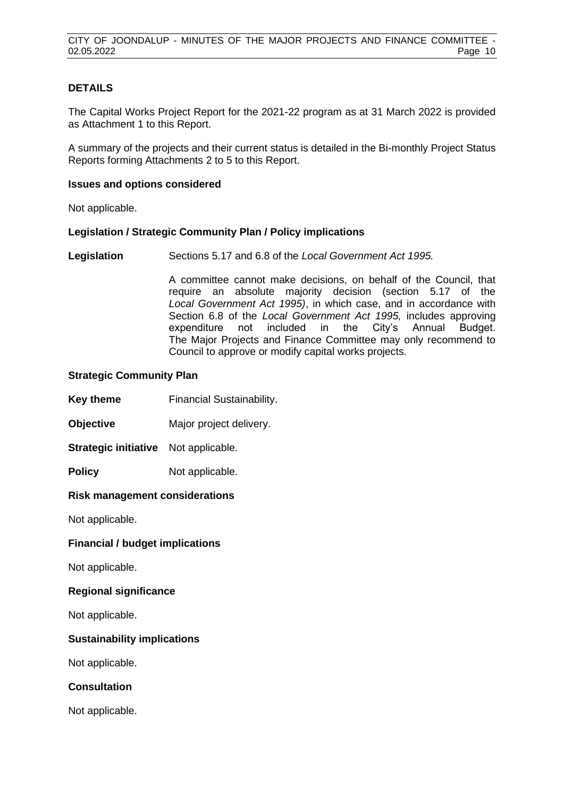### **DETAILS**

The Capital Works Project Report for the 2021-22 program as at 31 March 2022 is provided as Attachment 1 to this Report.

A summary of the projects and their current status is detailed in the Bi-monthly Project Status Reports forming Attachments 2 to 5 to this Report.

### **Issues and options considered**

Not applicable.

### **Legislation / Strategic Community Plan / Policy implications**

**Legislation** Sections 5.17 and 6.8 of the *Local Government Act 1995.*

A committee cannot make decisions, on behalf of the Council, that require an absolute majority decision (section 5.17 of the *Local Government Act 1995)*, in which case, and in accordance with Section 6.8 of the *Local Government Act 1995,* includes approving expenditure not included in the City's Annual Budget. The Major Projects and Finance Committee may only recommend to Council to approve or modify capital works projects.

### **Strategic Community Plan**

**Key theme Financial Sustainability.** 

**Objective** Major project delivery.

**Strategic initiative** Not applicable.

**Policy** Not applicable.

### **Risk management considerations**

Not applicable.

**Financial / budget implications**

Not applicable.

### **Regional significance**

Not applicable.

### **Sustainability implications**

Not applicable.

**Consultation**

Not applicable.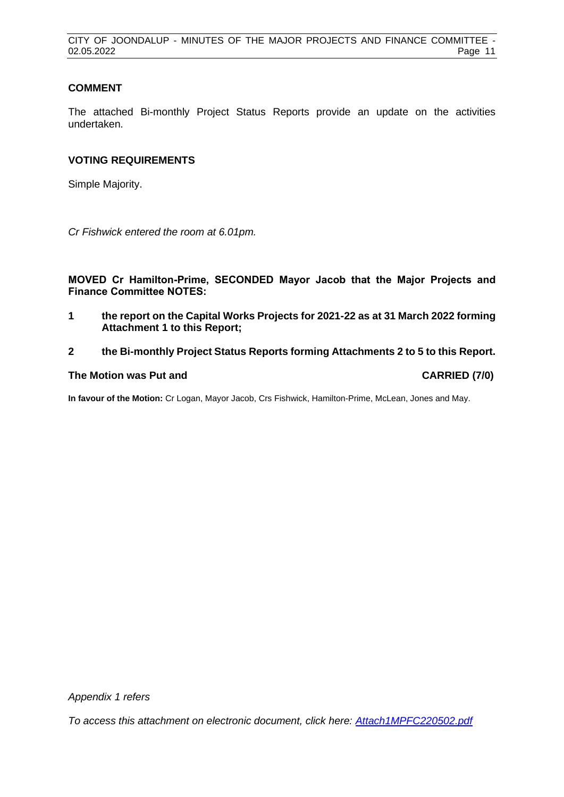### **COMMENT**

The attached Bi-monthly Project Status Reports provide an update on the activities undertaken.

### **VOTING REQUIREMENTS**

Simple Majority.

*Cr Fishwick entered the room at 6.01pm.*

**MOVED Cr Hamilton-Prime, SECONDED Mayor Jacob that the Major Projects and Finance Committee NOTES:**

- **1 the report on the Capital Works Projects for 2021-22 as at 31 March 2022 forming Attachment 1 to this Report;**
- **2 the Bi-monthly Project Status Reports forming Attachments 2 to 5 to this Report.**

### **The Motion was Put and CARRIED (7/0)**

**In favour of the Motion:** Cr Logan, Mayor Jacob, Crs Fishwick, Hamilton-Prime, McLean, Jones and May.

*Appendix 1 refers*

*[To access this attachment on electronic document, click here: Attach1MPFC220502.pdf](http://www.joondalup.wa.gov.au/files/committees/MPFI/2022/Attach1MPFC220502.pdf)*